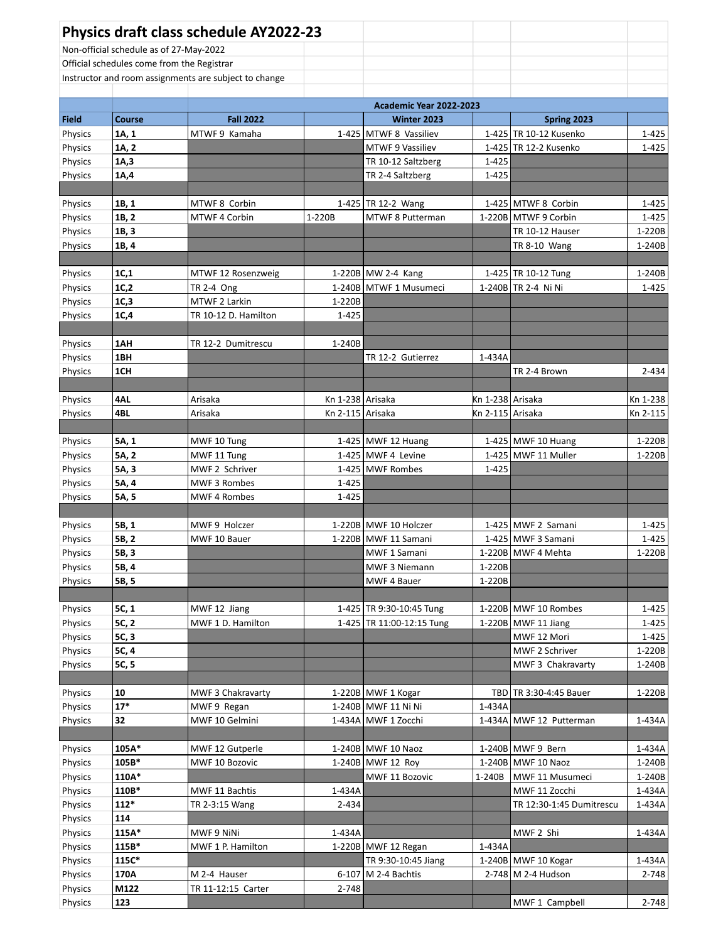|                                                       |                                         | <b>Physics draft class schedule AY2022-23</b> |                  |                                            |                  |                                           |                  |
|-------------------------------------------------------|-----------------------------------------|-----------------------------------------------|------------------|--------------------------------------------|------------------|-------------------------------------------|------------------|
|                                                       | Non-official schedule as of 27-May-2022 |                                               |                  |                                            |                  |                                           |                  |
|                                                       |                                         | Official schedules come from the Registrar    |                  |                                            |                  |                                           |                  |
| Instructor and room assignments are subject to change |                                         |                                               |                  |                                            |                  |                                           |                  |
|                                                       |                                         |                                               |                  |                                            |                  |                                           |                  |
|                                                       |                                         |                                               |                  | Academic Year 2022-2023                    |                  |                                           |                  |
| <b>Field</b>                                          | Course                                  | <b>Fall 2022</b>                              |                  | Winter 2023                                |                  | Spring 2023                               |                  |
| Physics                                               | 1A, 1                                   | MTWF 9 Kamaha                                 |                  | 1-425 MTWF 8 Vassiliev<br>MTWF 9 Vassiliev |                  | 1-425 TR 10-12 Kusenko                    | 1-425            |
| Physics<br>Physics                                    | 1A, 2<br>1A,3                           |                                               |                  | TR 10-12 Saltzberg                         | 1-425            | 1-425 TR 12-2 Kusenko                     | 1-425            |
| Physics                                               | 1A,4                                    |                                               |                  | TR 2-4 Saltzberg                           | 1-425            |                                           |                  |
|                                                       |                                         |                                               |                  |                                            |                  |                                           |                  |
| Physics                                               | 1B, 1                                   | MTWF 8 Corbin                                 |                  | 1-425 TR 12-2 Wang                         |                  | 1-425 MTWF 8 Corbin                       | 1-425            |
| Physics                                               | 1B, 2                                   | MTWF 4 Corbin                                 | 1-220B           | MTWF 8 Putterman                           |                  | 1-220B MTWF 9 Corbin                      | 1-425            |
| Physics                                               | 1B, 3                                   |                                               |                  |                                            |                  | TR 10-12 Hauser                           | 1-220B           |
| Physics                                               | 1B, 4                                   |                                               |                  |                                            |                  | TR 8-10 Wang                              | 1-240B           |
|                                                       |                                         |                                               |                  |                                            |                  |                                           |                  |
| Physics                                               | 1C,1                                    | MTWF 12 Rosenzweig                            |                  | 1-220B MW 2-4 Kang                         |                  | 1-425 TR 10-12 Tung                       | 1-240B           |
| Physics                                               | 1C,2                                    | TR 2-4 Ong                                    |                  | 1-240B MTWF 1 Musumeci                     |                  | 1-240B TR 2-4 Ni Ni                       | 1-425            |
| Physics                                               | 1C,3                                    | MTWF 2 Larkin                                 | 1-220B           |                                            |                  |                                           |                  |
| Physics                                               | 1C,4                                    | TR 10-12 D. Hamilton                          | 1-425            |                                            |                  |                                           |                  |
|                                                       |                                         |                                               |                  |                                            |                  |                                           |                  |
| Physics                                               | 1AH                                     | TR 12-2 Dumitrescu                            | 1-240B           |                                            |                  |                                           |                  |
| Physics                                               | 1BH                                     |                                               |                  | TR 12-2 Gutierrez                          | 1-434A           |                                           |                  |
| Physics                                               | 1CH                                     |                                               |                  |                                            |                  | TR 2-4 Brown                              | 2-434            |
|                                                       |                                         |                                               |                  |                                            |                  |                                           |                  |
| Physics                                               | 4AL                                     | Arisaka                                       | Kn 1-238 Arisaka |                                            | Kn 1-238 Arisaka |                                           | Kn 1-238         |
| Physics                                               | 4BL                                     | Arisaka                                       | Kn 2-115 Arisaka |                                            | Kn 2-115 Arisaka |                                           | Kn 2-115         |
|                                                       |                                         |                                               |                  |                                            |                  |                                           |                  |
| Physics                                               | 5A, 1                                   | MWF 10 Tung                                   |                  | 1-425 MWF 12 Huang                         |                  | 1-425 MWF 10 Huang                        | 1-220B           |
| Physics                                               | 5A, 2                                   | MWF 11 Tung                                   |                  | $1-425$ MWF 4 Levine                       |                  | 1-425 MWF 11 Muller                       | 1-220B           |
| Physics                                               | 5A, 3                                   | MWF 2 Schriver                                |                  | 1-425 MWF Rombes                           | 1-425            |                                           |                  |
| Physics                                               | 5A, 4                                   | MWF 3 Rombes                                  | $1 - 425$        |                                            |                  |                                           |                  |
| Physics                                               | 5A, 5                                   | MWF 4 Rombes                                  | 1-425            |                                            |                  |                                           |                  |
|                                                       |                                         |                                               |                  |                                            |                  |                                           |                  |
| Physics                                               | 5B, 1                                   | MWF 9 Holczer                                 |                  | 1-220B MWF 10 Holczer                      |                  | 1-425   MWF 2 Samani                      | 1-425            |
| Physics                                               | 5B, 2                                   | MWF 10 Bauer                                  |                  | 1-220B MWF 11 Samani                       |                  | 1-425 MWF 3 Samani                        | $1 - 425$        |
| <b>Physics</b>                                        | 5B, 3                                   |                                               |                  | MWF 1 Samani                               |                  | 1-220B MWF 4 Mehta                        | 1-220B           |
| Physics                                               | 5B, 4                                   |                                               |                  | MWF 3 Niemann                              | 1-220B           |                                           |                  |
| Physics                                               | 5B, 5                                   |                                               |                  | MWF 4 Bauer                                | 1-220B           |                                           |                  |
|                                                       |                                         |                                               |                  |                                            |                  |                                           |                  |
| Physics                                               | 5C, 1                                   | MWF 12 Jiang                                  |                  | 1-425 TR 9:30-10:45 Tung                   |                  | 1-220B   MWF 10 Rombes                    | 1-425            |
| Physics                                               | 5C, 2                                   | MWF 1 D. Hamilton                             |                  | 1-425 TR 11:00-12:15 Tung                  |                  | 1-220B MWF 11 Jiang                       | $1 - 425$        |
| Physics                                               | 5C, 3                                   |                                               |                  |                                            |                  | MWF 12 Mori                               | $1 - 425$        |
| Physics                                               | 5C, 4                                   |                                               |                  |                                            |                  | MWF 2 Schriver                            | 1-220B           |
| Physics                                               | 5C, 5                                   |                                               |                  |                                            |                  | MWF 3 Chakravarty                         | 1-240B           |
|                                                       |                                         |                                               |                  |                                            |                  |                                           |                  |
| Physics                                               | 10                                      | MWF 3 Chakravarty                             |                  | $1-220B$ MWF 1 Kogar                       |                  | TBD   TR 3:30-4:45 Bauer                  | 1-220B           |
| Physics                                               | $17*$                                   | MWF 9 Regan                                   |                  | 1-240B MWF 11 Ni Ni                        | 1-434A           |                                           |                  |
| Physics                                               | 32                                      | MWF 10 Gelmini                                |                  | 1-434A MWF 1 Zocchi                        |                  | 1-434A MWF 12 Putterman                   | 1-434A           |
|                                                       |                                         |                                               |                  |                                            |                  |                                           |                  |
| Physics                                               | 105A*<br>105B*                          | MWF 12 Gutperle                               |                  | 1-240B MWF 10 Naoz                         |                  | 1-240B MWF 9 Bern                         | 1-434A           |
| Physics                                               | 110A*                                   | MWF 10 Bozovic                                |                  | 1-240B MWF 12 Roy                          |                  | 1-240B MWF 10 Naoz                        | 1-240B           |
| Physics                                               | 110B*                                   |                                               |                  | MWF 11 Bozovic                             | 1-240B           | MWF 11 Musumeci                           | 1-240B           |
| Physics                                               | $112*$                                  | MWF 11 Bachtis                                | 1-434A<br>2-434  |                                            |                  | MWF 11 Zocchi<br>TR 12:30-1:45 Dumitrescu | 1-434A<br>1-434A |
| Physics                                               |                                         | TR 2-3:15 Wang                                |                  |                                            |                  |                                           |                  |
| Physics                                               | 114<br>115A*                            |                                               | 1-434A           |                                            |                  | MWF 2 Shi                                 |                  |
| Physics<br>Physics                                    | 115B*                                   | MWF 9 NiNi<br>MWF 1 P. Hamilton               |                  | 1-220B MWF 12 Regan                        | 1-434A           |                                           | 1-434A           |
|                                                       | 115C*                                   |                                               |                  |                                            |                  |                                           |                  |
| Physics<br>Physics                                    | 170A                                    | M 2-4 Hauser                                  |                  | TR 9:30-10:45 Jiang<br>6-107 M 2-4 Bachtis |                  | 1-240B MWF 10 Kogar<br>2-748 M 2-4 Hudson | 1-434A<br>2-748  |
| Physics                                               | M122                                    | TR 11-12:15 Carter                            | 2-748            |                                            |                  |                                           |                  |
| Physics                                               | 123                                     |                                               |                  |                                            |                  | MWF 1 Campbell                            | $2 - 748$        |
|                                                       |                                         |                                               |                  |                                            |                  |                                           |                  |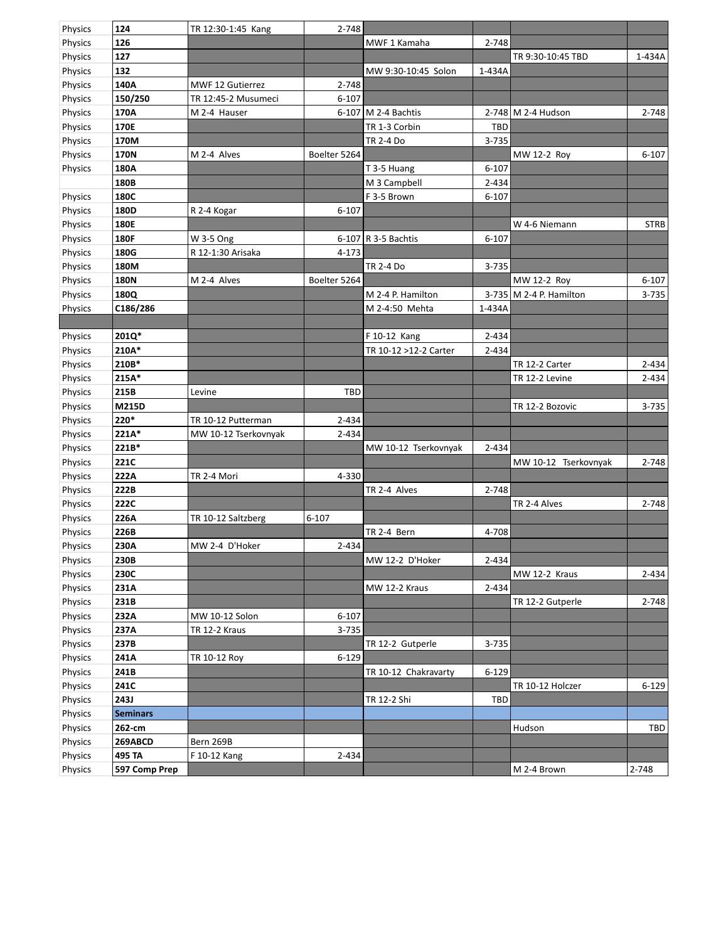| Physics | 124             | TR 12:30-1:45 Kang      | 2-748        |                       |            |                           |             |
|---------|-----------------|-------------------------|--------------|-----------------------|------------|---------------------------|-------------|
| Physics | 126             |                         |              | MWF 1 Kamaha          | 2-748      |                           |             |
| Physics | 127             |                         |              |                       |            | TR 9:30-10:45 TBD         | 1-434A      |
| Physics | 132             |                         |              | MW 9:30-10:45 Solon   | 1-434A     |                           |             |
| Physics | 140A            | <b>MWF 12 Gutierrez</b> | 2-748        |                       |            |                           |             |
| Physics | 150/250         | TR 12:45-2 Musumeci     | $6 - 107$    |                       |            |                           |             |
| Physics | 170A            | M 2-4 Hauser            |              | 6-107 M 2-4 Bachtis   |            | 2-748 M 2-4 Hudson        | 2-748       |
| Physics | 170E            |                         |              | TR 1-3 Corbin         | <b>TBD</b> |                           |             |
| Physics | 170M            |                         |              | <b>TR 2-4 Do</b>      | 3-735      |                           |             |
| Physics | <b>170N</b>     | M 2-4 Alves             | Boelter 5264 |                       |            | MW 12-2 Roy               | $6 - 107$   |
| Physics | 180A            |                         |              | T 3-5 Huang           | $6 - 107$  |                           |             |
|         | 180B            |                         |              | M 3 Campbell          | $2 - 434$  |                           |             |
| Physics | 180C            |                         |              | F 3-5 Brown           | $6 - 107$  |                           |             |
| Physics | 180D            | R 2-4 Kogar             | $6 - 107$    |                       |            |                           |             |
| Physics | 180E            |                         |              |                       |            | W 4-6 Niemann             | <b>STRB</b> |
| Physics | <b>180F</b>     | W 3-5 Ong               |              | 6-107 R 3-5 Bachtis   | $6 - 107$  |                           |             |
| Physics | 180G            | R 12-1:30 Arisaka       | 4-173        |                       |            |                           |             |
| Physics | 180M            |                         |              | <b>TR 2-4 Do</b>      | 3-735      |                           |             |
| Physics | <b>180N</b>     | M 2-4 Alves             | Boelter 5264 |                       |            | MW 12-2 Roy               | $6 - 107$   |
| Physics | 180Q            |                         |              | M 2-4 P. Hamilton     |            | 3-735   M 2-4 P. Hamilton | 3-735       |
| Physics | C186/286        |                         |              | M 2-4:50 Mehta        | 1-434A     |                           |             |
|         |                 |                         |              |                       |            |                           |             |
| Physics | 201Q*           |                         |              | F 10-12 Kang          | 2-434      |                           |             |
| Physics | 210A*           |                         |              | TR 10-12 >12-2 Carter | 2-434      |                           |             |
| Physics | 210B*           |                         |              |                       |            | TR 12-2 Carter            | 2-434       |
| Physics | 215A*           |                         |              |                       |            | TR 12-2 Levine            | 2-434       |
| Physics | 215B            | Levine                  | TBD          |                       |            |                           |             |
| Physics | M215D           |                         |              |                       |            | TR 12-2 Bozovic           | 3-735       |
| Physics | $220*$          | TR 10-12 Putterman      | 2-434        |                       |            |                           |             |
| Physics | 221A*           | MW 10-12 Tserkovnyak    | 2-434        |                       |            |                           |             |
| Physics | 221B*           |                         |              | MW 10-12 Tserkovnyak  | 2-434      |                           |             |
| Physics | 221C            |                         |              |                       |            | MW 10-12 Tserkovnyak      | 2-748       |
| Physics | 222A            | TR 2-4 Mori             | 4-330        |                       |            |                           |             |
| Physics | 222B            |                         |              | TR 2-4 Alves          | 2-748      |                           |             |
| Physics | 222C            |                         |              |                       |            | TR 2-4 Alves              | 2-748       |
| Physics | 226A            | TR 10-12 Saltzberg      | $6 - 107$    |                       |            |                           |             |
| Physics | 226B            |                         |              | TR 2-4 Bern           | 4-708      |                           |             |
| Physics | 230A            | MW 2-4 D'Hoker          | 2-434        |                       |            |                           |             |
| Physics | 230B            |                         |              | MW 12-2 D'Hoker       | 2-434      |                           |             |
| Physics | 230C            |                         |              |                       |            | MW 12-2 Kraus             | 2-434       |
| Physics | 231A            |                         |              | MW 12-2 Kraus         | 2-434      |                           |             |
| Physics | 231B            |                         |              |                       |            | TR 12-2 Gutperle          | 2-748       |
| Physics | 232A            | MW 10-12 Solon          | $6 - 107$    |                       |            |                           |             |
| Physics | 237A            | TR 12-2 Kraus           | 3-735        |                       |            |                           |             |
| Physics | 237B            |                         |              | TR 12-2 Gutperle      | 3-735      |                           |             |
| Physics | 241A            | TR 10-12 Roy            | $6 - 129$    |                       |            |                           |             |
| Physics | 241B            |                         |              | TR 10-12 Chakravarty  | $6 - 129$  |                           |             |
| Physics | 241C            |                         |              |                       |            | TR 10-12 Holczer          | $6 - 129$   |
| Physics | <b>243J</b>     |                         |              | TR 12-2 Shi           | <b>TBD</b> |                           |             |
| Physics | <b>Seminars</b> |                         |              |                       |            |                           |             |
| Physics | 262-cm          |                         |              |                       |            | Hudson                    | TBD         |
| Physics | 269ABCD         | Bern 269B               |              |                       |            |                           |             |
| Physics | 495 TA          | F 10-12 Kang            | 2-434        |                       |            |                           |             |
| Physics | 597 Comp Prep   |                         |              |                       |            | M 2-4 Brown               | 2-748       |